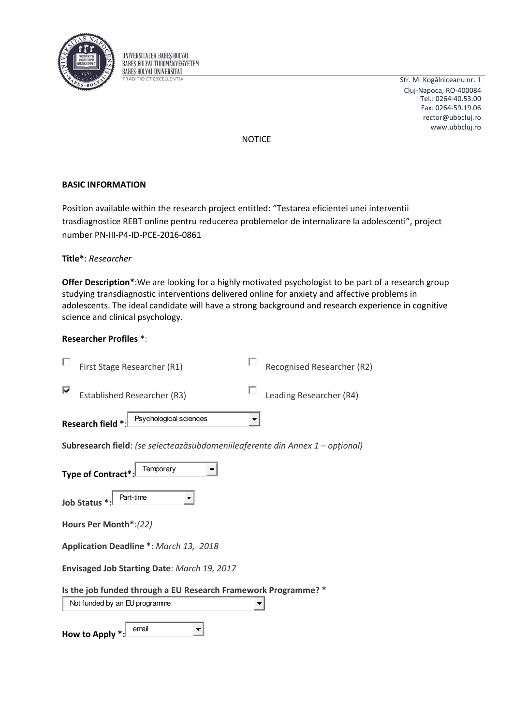

UNIVERSITATEA BABES-BOLYAI **BABES-BOLYAI TUDOMÁNYEGYETEM BABES-BOLYAI UNIVERSITAT TRADITIO ET EXCELLENTIA** 

Str. M. Kogălniceanu nr. 1 Cluj-Napoca, RO-400084 rector@ubbcluj.ro www.ubbcluj.ro Tel.: 0264-40.53.00 Fax: 0264-59.19.06

NOTICE

# **BASIC INFORMATION**

Position available within the research project entitled: "Testarea eficientei unei interventii trasdiagnostice REBT online pentru reducerea problemelor de internalizare la adolescenti", project number PN-III-P4-ID-PCE-2016-0861

# **Title\***: *Researcher*

**Offer Description\***:We are looking for a highly motivated psychologist to be part of a research group studying transdiagnostic interventions delivered online for anxiety and affective problems in adolescents. The ideal candidate will have a strong background and research experience in cognitive science and clinical psychology.

# **Researcher Profiles \***:

|                                                                | First Stage Researcher (R1)                                                   |   | Recognised Researcher (R2) |  |  |
|----------------------------------------------------------------|-------------------------------------------------------------------------------|---|----------------------------|--|--|
| ⊽                                                              | <b>Established Researcher (R3)</b>                                            |   | Leading Researcher (R4)    |  |  |
|                                                                | Psychological sciences<br>Research field *:                                   | Ŧ |                            |  |  |
|                                                                | Subresearch field: (se selecteazăsubdomeniileaferente din Annex 1 – opțional) |   |                            |  |  |
| Temporary<br><b>Type of Contract</b>                           |                                                                               |   |                            |  |  |
| Part-time<br>Job Status *:                                     |                                                                               |   |                            |  |  |
| Hours Per Month*:(22)                                          |                                                                               |   |                            |  |  |
| Application Deadline *: March 13, 2018                         |                                                                               |   |                            |  |  |
| Envisaged Job Starting Date: March 19, 2017                    |                                                                               |   |                            |  |  |
| Is the job funded through a EU Research Framework Programme? * |                                                                               |   |                            |  |  |
| Not funded by an EU programme                                  |                                                                               |   |                            |  |  |
|                                                                | email<br><b>How to Apply</b>                                                  |   |                            |  |  |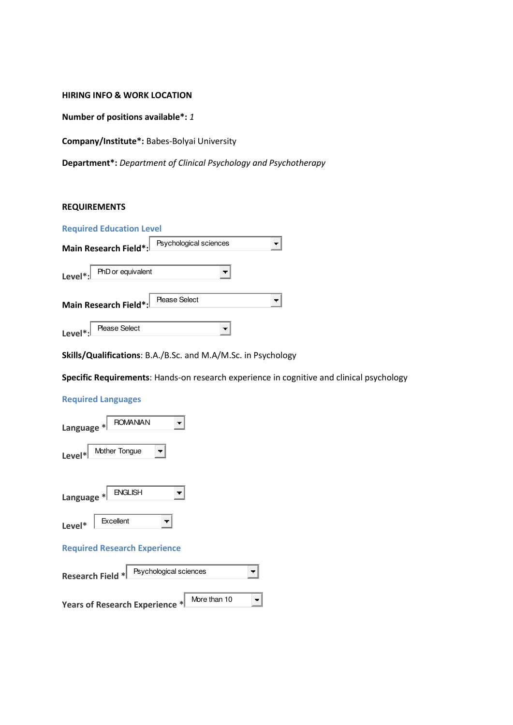#### **HIRING INFO & WORK LOCATION**

**Number of positions available\*:** *1*

**Company/Institute\*:** Babes-Bolyai University

**Department\*:** *Department of Clinical Psychology and Psychotherapy* 

# **REQUIREMENTS**

|                      | <b>Required Education Level</b> |                        |  |
|----------------------|---------------------------------|------------------------|--|
|                      | Main Research Field*:           | Psychological sciences |  |
| Level $\cdot$ .      | PhD or equivalent               |                        |  |
|                      | Main Research Field*:           | <b>Please Select</b>   |  |
| Level <sup>*</sup> : | <b>Please Select</b>            |                        |  |

**Skills/Qualifications**: B.A./B.Sc. and M.A/M.Sc. in Psychology

**Specific Requirements**: Hands-on research experience in cognitive and clinical psychology

# **Required Languages**

| <b>ROMANIAN</b><br>Language *       |  |  |  |  |
|-------------------------------------|--|--|--|--|
| Mother Tongue<br>$Level*$           |  |  |  |  |
| <b>ENGLISH</b><br>Language $*$      |  |  |  |  |
| Excellent<br>Level*                 |  |  |  |  |
| <b>Required Research Experience</b> |  |  |  |  |
| .                                   |  |  |  |  |

| Research Field *               | Psychological sciences |              |  |
|--------------------------------|------------------------|--------------|--|
| Years of Research Experience * |                        | More than 10 |  |